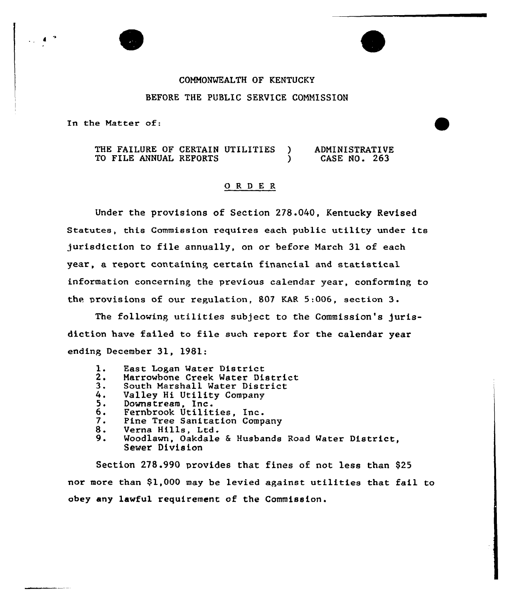## COMMONMEALTH OF KENTUCKY BEFORE THE PUBLIC SERVICE COMNISSION

In the Matter of:

 $\blacktriangle$ 

F

THE FAILURE OF CERTAIN UTILITIES )<br>TO FILE ANNUAL REPORTS TO FILE ANNUAL REPORTS ADMI NI STRATI VE CASE NO. 263

## ORDER

Under the provisions of Section 278.040, Kentucky Revised Statutes, this Commission requires each public utility under its jurisdiction to file annually, on or before March 31 of each year, a report containine certain financial and statistical information concerning the previous calendar year, conforming to the provisions of our regulation, 807 KAR 5:006, section  $3$ .

The following utilities subject to the Commission's jurisdiction have failed to file such report for the calendar year ending December 31, 1981:

- **1.** East Logan Mater District
- 2.<br>3.<br>4. Marrowbone Creek Mater District
- South Marshall Mater District
- Valley Hi Utility Company
- $5.$ Downstream, Inc.
- 6. Fernbrook Utilities, Inc.
- 7 <sup>~</sup> Pine Tree Sanitation Company
- 8. Verna Hills, Ltd.
- $9.$ Moodlawn, Oakdale & Husbands Road Mater District, Sewer Division

Section 278.990 provides that fines of not less than \$25 nor more than 91,000 may be levied against utilities that fail to obey any lawful requirement of the Commission.